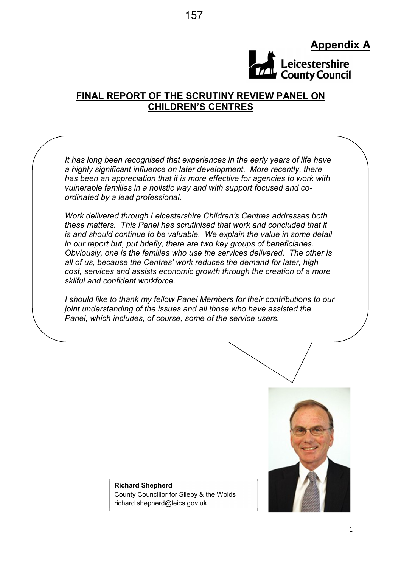## Appendix A



## FINAL REPORT OF THE SCRUTINY REVIEW PANEL ON CHILDREN'S CENTRES

It has long been recognised that experiences in the early years of life have a highly significant influence on later development. More recently, there has been an appreciation that it is more effective for agencies to work with vulnerable families in a holistic way and with support focused and coordinated by a lead professional.

Work delivered through Leicestershire Children's Centres addresses both these matters. This Panel has scrutinised that work and concluded that it is and should continue to be valuable. We explain the value in some detail in our report but, put briefly, there are two key groups of beneficiaries. Obviously, one is the families who use the services delivered. The other is all of us, because the Centres' work reduces the demand for later, high cost, services and assists economic growth through the creation of a more skilful and confident workforce.

I should like to thank my fellow Panel Members for their contributions to our joint understanding of the issues and all those who have assisted the Panel, which includes, of course, some of the service users.



#### Richard Shepherd County Councillor for Sileby & the Wolds richard.shepherd@leics.gov.uk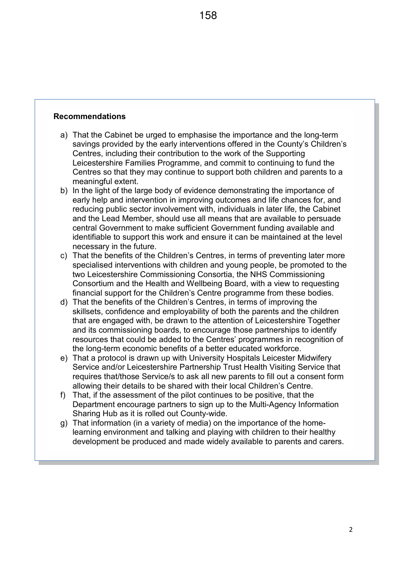#### Recommendations

- a) That the Cabinet be urged to emphasise the importance and the long-term savings provided by the early interventions offered in the County's Children's Centres, including their contribution to the work of the Supporting Leicestershire Families Programme, and commit to continuing to fund the Centres so that they may continue to support both children and parents to a meaningful extent.
- b) In the light of the large body of evidence demonstrating the importance of early help and intervention in improving outcomes and life chances for, and reducing public sector involvement with, individuals in later life, the Cabinet and the Lead Member, should use all means that are available to persuade central Government to make sufficient Government funding available and identifiable to support this work and ensure it can be maintained at the level necessary in the future.
- c) That the benefits of the Children's Centres, in terms of preventing later more specialised interventions with children and young people, be promoted to the two Leicestershire Commissioning Consortia, the NHS Commissioning Consortium and the Health and Wellbeing Board, with a view to requesting financial support for the Children's Centre programme from these bodies.
- d) That the benefits of the Children's Centres, in terms of improving the skillsets, confidence and employability of both the parents and the children that are engaged with, be drawn to the attention of Leicestershire Together and its commissioning boards, to encourage those partnerships to identify resources that could be added to the Centres' programmes in recognition of the long-term economic benefits of a better educated workforce.
- e) That a protocol is drawn up with University Hospitals Leicester Midwifery Service and/or Leicestershire Partnership Trust Health Visiting Service that requires that/those Service/s to ask all new parents to fill out a consent form allowing their details to be shared with their local Children's Centre.
- f) That, if the assessment of the pilot continues to be positive, that the Department encourage partners to sign up to the Multi-Agency Information Sharing Hub as it is rolled out County-wide.
- g) That information (in a variety of media) on the importance of the homelearning environment and talking and playing with children to their healthy development be produced and made widely available to parents and carers.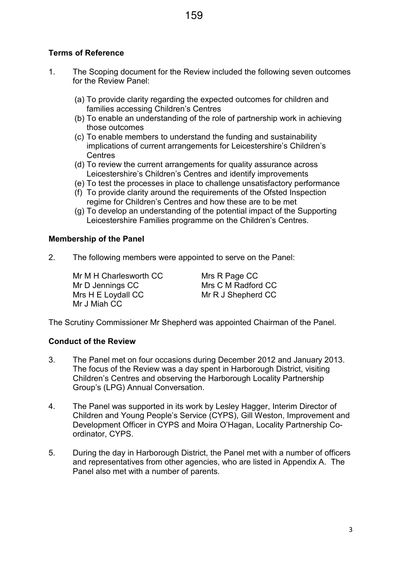## Terms of Reference

- 1. The Scoping document for the Review included the following seven outcomes for the Review Panel:
	- (a) To provide clarity regarding the expected outcomes for children and families accessing Children's Centres
	- (b) To enable an understanding of the role of partnership work in achieving those outcomes
	- (c) To enable members to understand the funding and sustainability implications of current arrangements for Leicestershire's Children's **Centres**
	- (d) To review the current arrangements for quality assurance across Leicestershire's Children's Centres and identify improvements
	- (e) To test the processes in place to challenge unsatisfactory performance
	- (f) To provide clarity around the requirements of the Ofsted Inspection regime for Children's Centres and how these are to be met
	- (g) To develop an understanding of the potential impact of the Supporting Leicestershire Families programme on the Children's Centres.

#### Membership of the Panel

2. The following members were appointed to serve on the Panel:

Mr M H Charlesworth CC Mrs R Page CC Mr D Jennings CC Mrs C M Radford CC Mrs H E Loydall CC Mr R J Shepherd CC Mr J Miah CC

The Scrutiny Commissioner Mr Shepherd was appointed Chairman of the Panel.

#### Conduct of the Review

- 3. The Panel met on four occasions during December 2012 and January 2013. The focus of the Review was a day spent in Harborough District, visiting Children's Centres and observing the Harborough Locality Partnership Group's (LPG) Annual Conversation.
- 4. The Panel was supported in its work by Lesley Hagger, Interim Director of Children and Young People's Service (CYPS), Gill Weston, Improvement and Development Officer in CYPS and Moira O'Hagan, Locality Partnership Coordinator, CYPS.
- 5. During the day in Harborough District, the Panel met with a number of officers and representatives from other agencies, who are listed in Appendix A. The Panel also met with a number of parents.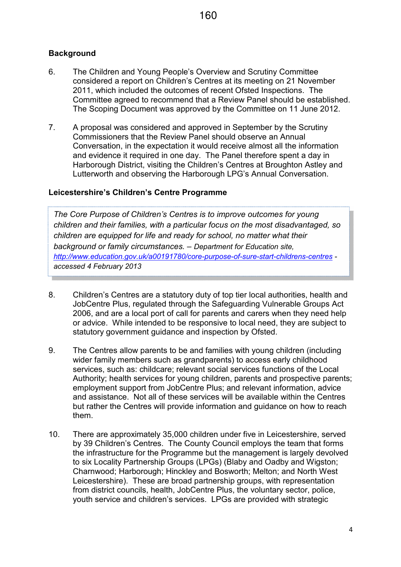### **Background**

- 6. The Children and Young People's Overview and Scrutiny Committee considered a report on Children's Centres at its meeting on 21 November 2011, which included the outcomes of recent Ofsted Inspections. The Committee agreed to recommend that a Review Panel should be established. The Scoping Document was approved by the Committee on 11 June 2012.
- 7. A proposal was considered and approved in September by the Scrutiny Commissioners that the Review Panel should observe an Annual Conversation, in the expectation it would receive almost all the information and evidence it required in one day. The Panel therefore spent a day in Harborough District, visiting the Children's Centres at Broughton Astley and Lutterworth and observing the Harborough LPG's Annual Conversation.

#### Leicestershire's Children's Centre Programme

The Core Purpose of Children's Centres is to improve outcomes for young children and their families, with a particular focus on the most disadvantaged, so children are equipped for life and ready for school, no matter what their background or family circumstances. – Department for Education site, http://www.education.gov.uk/a00191780/core-purpose-of-sure-start-childrens-centres accessed 4 February 2013

- 8. Children's Centres are a statutory duty of top tier local authorities, health and JobCentre Plus, regulated through the Safeguarding Vulnerable Groups Act 2006, and are a local port of call for parents and carers when they need help or advice. While intended to be responsive to local need, they are subject to statutory government guidance and inspection by Ofsted.
- 9. The Centres allow parents to be and families with young children (including wider family members such as grandparents) to access early childhood services, such as: childcare; relevant social services functions of the Local Authority; health services for young children, parents and prospective parents; employment support from JobCentre Plus; and relevant information, advice and assistance. Not all of these services will be available within the Centres but rather the Centres will provide information and guidance on how to reach them.
- 10. There are approximately 35,000 children under five in Leicestershire, served by 39 Children's Centres. The County Council employs the team that forms the infrastructure for the Programme but the management is largely devolved to six Locality Partnership Groups (LPGs) (Blaby and Oadby and Wigston; Charnwood; Harborough; Hinckley and Bosworth; Melton; and North West Leicestershire). These are broad partnership groups, with representation from district councils, health, JobCentre Plus, the voluntary sector, police, youth service and children's services. LPGs are provided with strategic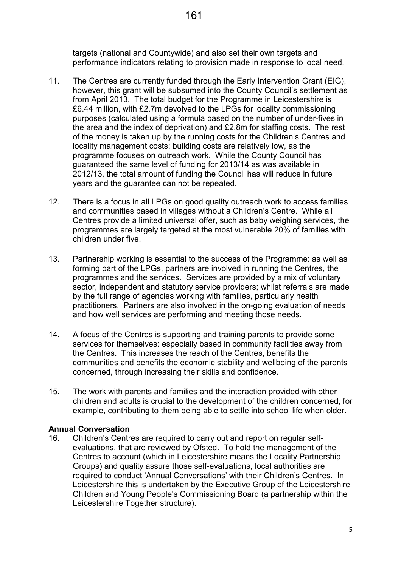targets (national and Countywide) and also set their own targets and performance indicators relating to provision made in response to local need.

- 11. The Centres are currently funded through the Early Intervention Grant (EIG), however, this grant will be subsumed into the County Council's settlement as from April 2013. The total budget for the Programme in Leicestershire is £6.44 million, with £2.7m devolved to the LPGs for locality commissioning purposes (calculated using a formula based on the number of under-fives in the area and the index of deprivation) and £2.8m for staffing costs. The rest of the money is taken up by the running costs for the Children's Centres and locality management costs: building costs are relatively low, as the programme focuses on outreach work. While the County Council has guaranteed the same level of funding for 2013/14 as was available in 2012/13, the total amount of funding the Council has will reduce in future years and the guarantee can not be repeated.
- 12. There is a focus in all LPGs on good quality outreach work to access families and communities based in villages without a Children's Centre. While all Centres provide a limited universal offer, such as baby weighing services, the programmes are largely targeted at the most vulnerable 20% of families with children under five.
- 13. Partnership working is essential to the success of the Programme: as well as forming part of the LPGs, partners are involved in running the Centres, the programmes and the services. Services are provided by a mix of voluntary sector, independent and statutory service providers; whilst referrals are made by the full range of agencies working with families, particularly health practitioners. Partners are also involved in the on-going evaluation of needs and how well services are performing and meeting those needs.
- 14. A focus of the Centres is supporting and training parents to provide some services for themselves: especially based in community facilities away from the Centres. This increases the reach of the Centres, benefits the communities and benefits the economic stability and wellbeing of the parents concerned, through increasing their skills and confidence.
- 15. The work with parents and families and the interaction provided with other children and adults is crucial to the development of the children concerned, for example, contributing to them being able to settle into school life when older.

#### Annual Conversation

16. Children's Centres are required to carry out and report on regular selfevaluations, that are reviewed by Ofsted. To hold the management of the Centres to account (which in Leicestershire means the Locality Partnership Groups) and quality assure those self-evaluations, local authorities are required to conduct 'Annual Conversations' with their Children's Centres. In Leicestershire this is undertaken by the Executive Group of the Leicestershire Children and Young People's Commissioning Board (a partnership within the Leicestershire Together structure).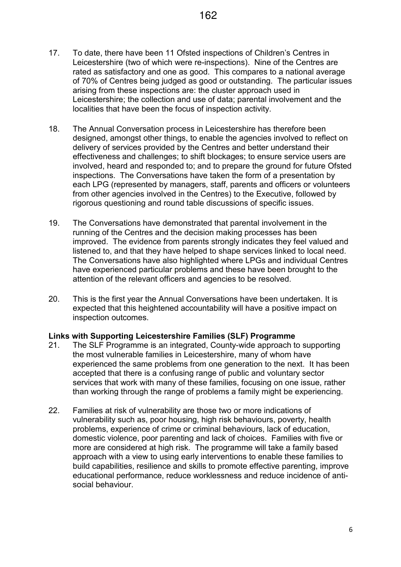- 17. To date, there have been 11 Ofsted inspections of Children's Centres in Leicestershire (two of which were re-inspections). Nine of the Centres are rated as satisfactory and one as good. This compares to a national average of 70% of Centres being judged as good or outstanding. The particular issues arising from these inspections are: the cluster approach used in Leicestershire; the collection and use of data; parental involvement and the localities that have been the focus of inspection activity.
- 18. The Annual Conversation process in Leicestershire has therefore been designed, amongst other things, to enable the agencies involved to reflect on delivery of services provided by the Centres and better understand their effectiveness and challenges; to shift blockages; to ensure service users are involved, heard and responded to; and to prepare the ground for future Ofsted inspections. The Conversations have taken the form of a presentation by each LPG (represented by managers, staff, parents and officers or volunteers from other agencies involved in the Centres) to the Executive, followed by rigorous questioning and round table discussions of specific issues.
- 19. The Conversations have demonstrated that parental involvement in the running of the Centres and the decision making processes has been improved. The evidence from parents strongly indicates they feel valued and listened to, and that they have helped to shape services linked to local need. The Conversations have also highlighted where LPGs and individual Centres have experienced particular problems and these have been brought to the attention of the relevant officers and agencies to be resolved.
- 20. This is the first year the Annual Conversations have been undertaken. It is expected that this heightened accountability will have a positive impact on inspection outcomes.

#### Links with Supporting Leicestershire Families (SLF) Programme

- 21. The SLF Programme is an integrated, County-wide approach to supporting the most vulnerable families in Leicestershire, many of whom have experienced the same problems from one generation to the next. It has been accepted that there is a confusing range of public and voluntary sector services that work with many of these families, focusing on one issue, rather than working through the range of problems a family might be experiencing.
- 22. Families at risk of vulnerability are those two or more indications of vulnerability such as, poor housing, high risk behaviours, poverty, health problems, experience of crime or criminal behaviours, lack of education, domestic violence, poor parenting and lack of choices. Families with five or more are considered at high risk. The programme will take a family based approach with a view to using early interventions to enable these families to build capabilities, resilience and skills to promote effective parenting, improve educational performance, reduce worklessness and reduce incidence of antisocial behaviour.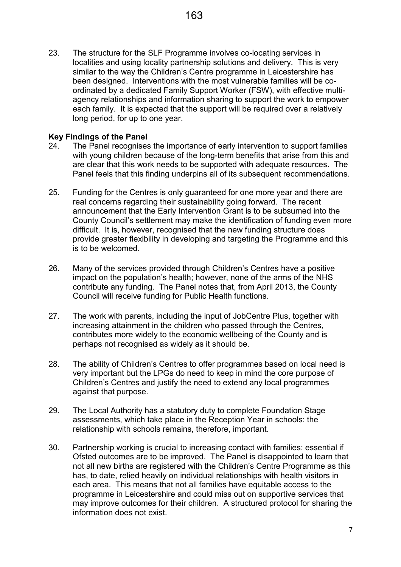23. The structure for the SLF Programme involves co-locating services in localities and using locality partnership solutions and delivery. This is very similar to the way the Children's Centre programme in Leicestershire has been designed. Interventions with the most vulnerable families will be coordinated by a dedicated Family Support Worker (FSW), with effective multiagency relationships and information sharing to support the work to empower each family. It is expected that the support will be required over a relatively long period, for up to one year.

#### Key Findings of the Panel

- 24. The Panel recognises the importance of early intervention to support families with young children because of the long-term benefits that arise from this and are clear that this work needs to be supported with adequate resources. The Panel feels that this finding underpins all of its subsequent recommendations.
- 25. Funding for the Centres is only guaranteed for one more year and there are real concerns regarding their sustainability going forward. The recent announcement that the Early Intervention Grant is to be subsumed into the County Council's settlement may make the identification of funding even more difficult. It is, however, recognised that the new funding structure does provide greater flexibility in developing and targeting the Programme and this is to be welcomed.
- 26. Many of the services provided through Children's Centres have a positive impact on the population's health; however, none of the arms of the NHS contribute any funding. The Panel notes that, from April 2013, the County Council will receive funding for Public Health functions.
- 27. The work with parents, including the input of JobCentre Plus, together with increasing attainment in the children who passed through the Centres, contributes more widely to the economic wellbeing of the County and is perhaps not recognised as widely as it should be.
- 28. The ability of Children's Centres to offer programmes based on local need is very important but the LPGs do need to keep in mind the core purpose of Children's Centres and justify the need to extend any local programmes against that purpose.
- 29. The Local Authority has a statutory duty to complete Foundation Stage assessments, which take place in the Reception Year in schools: the relationship with schools remains, therefore, important.
- 30. Partnership working is crucial to increasing contact with families: essential if Ofsted outcomes are to be improved. The Panel is disappointed to learn that not all new births are registered with the Children's Centre Programme as this has, to date, relied heavily on individual relationships with health visitors in each area. This means that not all families have equitable access to the programme in Leicestershire and could miss out on supportive services that may improve outcomes for their children. A structured protocol for sharing the information does not exist.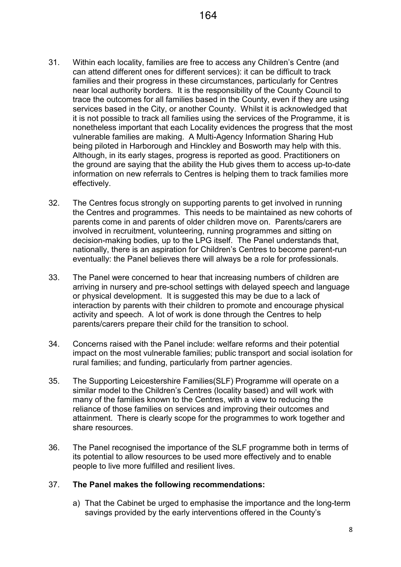- 31. Within each locality, families are free to access any Children's Centre (and can attend different ones for different services): it can be difficult to track families and their progress in these circumstances, particularly for Centres near local authority borders. It is the responsibility of the County Council to trace the outcomes for all families based in the County, even if they are using services based in the City, or another County. Whilst it is acknowledged that it is not possible to track all families using the services of the Programme, it is nonetheless important that each Locality evidences the progress that the most vulnerable families are making. A Multi-Agency Information Sharing Hub being piloted in Harborough and Hinckley and Bosworth may help with this. Although, in its early stages, progress is reported as good. Practitioners on the ground are saying that the ability the Hub gives them to access up-to-date information on new referrals to Centres is helping them to track families more effectively.
- 32. The Centres focus strongly on supporting parents to get involved in running the Centres and programmes. This needs to be maintained as new cohorts of parents come in and parents of older children move on. Parents/carers are involved in recruitment, volunteering, running programmes and sitting on decision-making bodies, up to the LPG itself. The Panel understands that, nationally, there is an aspiration for Children's Centres to become parent-run eventually: the Panel believes there will always be a role for professionals.
- 33. The Panel were concerned to hear that increasing numbers of children are arriving in nursery and pre-school settings with delayed speech and language or physical development. It is suggested this may be due to a lack of interaction by parents with their children to promote and encourage physical activity and speech. A lot of work is done through the Centres to help parents/carers prepare their child for the transition to school.
- 34. Concerns raised with the Panel include: welfare reforms and their potential impact on the most vulnerable families; public transport and social isolation for rural families; and funding, particularly from partner agencies.
- 35. The Supporting Leicestershire Families(SLF) Programme will operate on a similar model to the Children's Centres (locality based) and will work with many of the families known to the Centres, with a view to reducing the reliance of those families on services and improving their outcomes and attainment. There is clearly scope for the programmes to work together and share resources.
- 36. The Panel recognised the importance of the SLF programme both in terms of its potential to allow resources to be used more effectively and to enable people to live more fulfilled and resilient lives.

#### 37. The Panel makes the following recommendations:

a) That the Cabinet be urged to emphasise the importance and the long-term savings provided by the early interventions offered in the County's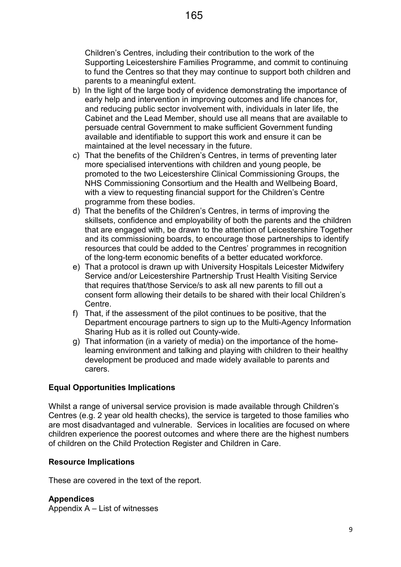Children's Centres, including their contribution to the work of the Supporting Leicestershire Families Programme, and commit to continuing to fund the Centres so that they may continue to support both children and parents to a meaningful extent.

- b) In the light of the large body of evidence demonstrating the importance of early help and intervention in improving outcomes and life chances for, and reducing public sector involvement with, individuals in later life, the Cabinet and the Lead Member, should use all means that are available to persuade central Government to make sufficient Government funding available and identifiable to support this work and ensure it can be maintained at the level necessary in the future.
- c) That the benefits of the Children's Centres, in terms of preventing later more specialised interventions with children and young people, be promoted to the two Leicestershire Clinical Commissioning Groups, the NHS Commissioning Consortium and the Health and Wellbeing Board, with a view to requesting financial support for the Children's Centre programme from these bodies.
- d) That the benefits of the Children's Centres, in terms of improving the skillsets, confidence and employability of both the parents and the children that are engaged with, be drawn to the attention of Leicestershire Together and its commissioning boards, to encourage those partnerships to identify resources that could be added to the Centres' programmes in recognition of the long-term economic benefits of a better educated workforce.
- e) That a protocol is drawn up with University Hospitals Leicester Midwifery Service and/or Leicestershire Partnership Trust Health Visiting Service that requires that/those Service/s to ask all new parents to fill out a consent form allowing their details to be shared with their local Children's Centre.
- f) That, if the assessment of the pilot continues to be positive, that the Department encourage partners to sign up to the Multi-Agency Information Sharing Hub as it is rolled out County-wide.
- g) That information (in a variety of media) on the importance of the homelearning environment and talking and playing with children to their healthy development be produced and made widely available to parents and carers.

#### Equal Opportunities Implications

Whilst a range of universal service provision is made available through Children's Centres (e.g. 2 year old health checks), the service is targeted to those families who are most disadvantaged and vulnerable. Services in localities are focused on where children experience the poorest outcomes and where there are the highest numbers of children on the Child Protection Register and Children in Care.

#### Resource Implications

These are covered in the text of the report.

#### **Appendices**

Appendix A – List of witnesses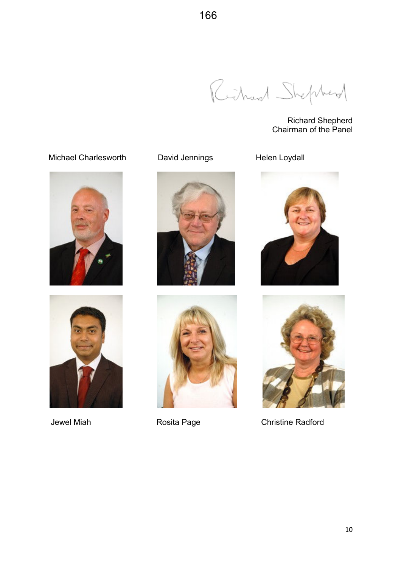Richard Shepherd

Richard Shepherd Chairman of the Panel





Jewel Miah **Rosita Page** Christine Radford

# Michael Charlesworth David Jennings Helen Loydall







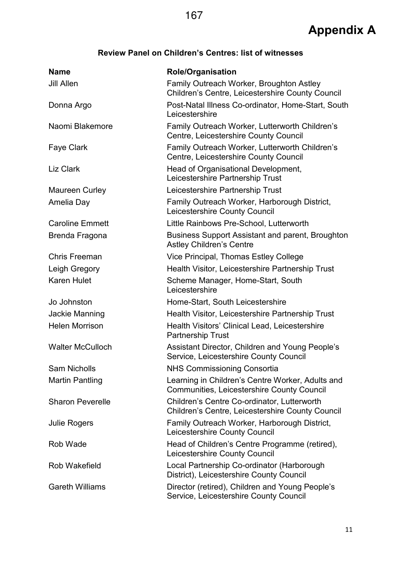## Review Panel on Children's Centres: list of witnesses

| <b>Name</b>             | <b>Role/Organisation</b>                                                                              |
|-------------------------|-------------------------------------------------------------------------------------------------------|
| <b>Jill Allen</b>       | Family Outreach Worker, Broughton Astley<br>Children's Centre, Leicestershire County Council          |
| Donna Argo              | Post-Natal Illness Co-ordinator, Home-Start, South<br>Leicestershire                                  |
| Naomi Blakemore         | Family Outreach Worker, Lutterworth Children's<br>Centre, Leicestershire County Council               |
| <b>Faye Clark</b>       | Family Outreach Worker, Lutterworth Children's<br>Centre, Leicestershire County Council               |
| Liz Clark               | Head of Organisational Development,<br>Leicestershire Partnership Trust                               |
| Maureen Curley          | Leicestershire Partnership Trust                                                                      |
| Amelia Day              | Family Outreach Worker, Harborough District,<br>Leicestershire County Council                         |
| <b>Caroline Emmett</b>  | Little Rainbows Pre-School, Lutterworth                                                               |
| Brenda Fragona          | <b>Business Support Assistant and parent, Broughton</b><br><b>Astley Children's Centre</b>            |
| Chris Freeman           | Vice Principal, Thomas Estley College                                                                 |
| Leigh Gregory           | Health Visitor, Leicestershire Partnership Trust                                                      |
| Karen Hulet             | Scheme Manager, Home-Start, South<br>Leicestershire                                                   |
| Jo Johnston             | Home-Start, South Leicestershire                                                                      |
| Jackie Manning          | Health Visitor, Leicestershire Partnership Trust                                                      |
| <b>Helen Morrison</b>   | Health Visitors' Clinical Lead, Leicestershire<br><b>Partnership Trust</b>                            |
| <b>Walter McCulloch</b> | Assistant Director, Children and Young People's<br>Service, Leicestershire County Council             |
| <b>Sam Nicholls</b>     | <b>NHS Commissioning Consortia</b>                                                                    |
| <b>Martin Pantling</b>  | Learning in Children's Centre Worker, Adults and<br><b>Communities, Leicestershire County Council</b> |
| <b>Sharon Peverelle</b> | Children's Centre Co-ordinator, Lutterworth<br>Children's Centre, Leicestershire County Council       |
| <b>Julie Rogers</b>     | Family Outreach Worker, Harborough District,<br>Leicestershire County Council                         |
| Rob Wade                | Head of Children's Centre Programme (retired),<br>Leicestershire County Council                       |
| Rob Wakefield           | Local Partnership Co-ordinator (Harborough<br>District), Leicestershire County Council                |
| <b>Gareth Williams</b>  | Director (retired), Children and Young People's<br>Service, Leicestershire County Council             |